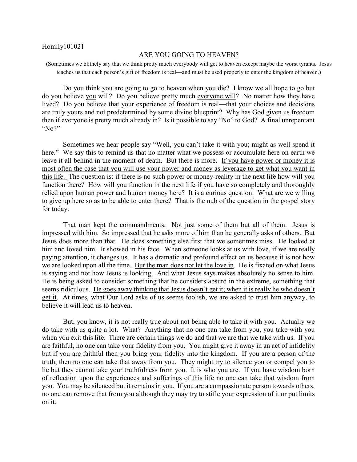## Homily101021

## ARE YOU GOING TO HEAVEN?

(Sometimes we blithely say that we think pretty much everybody will get to heaven except maybe the worst tyrants. Jesus teaches us that each person's gift of freedom is real—and must be used properly to enter the kingdom of heaven.)

Do you think you are going to go to heaven when you die? I know we all hope to go but do you believe you will? Do you believe pretty much everyone will? No matter how they have lived? Do you believe that your experience of freedom is real—that your choices and decisions are truly yours and not predetermined by some divine blueprint? Why has God given us freedom then if everyone is pretty much already in? Is it possible to say "No" to God? A final unrepentant "No?"

Sometimes we hear people say "Well, you can't take it with you; might as well spend it here." We say this to remind us that no matter what we possess or accumulate here on earth we leave it all behind in the moment of death. But there is more. If you have power or money it is most often the case that you will use your power and money as leverage to get what you want in this life. The question is: if there is no such power or money-reality in the next life how will you function there? How will you function in the next life if you have so completely and thoroughly relied upon human power and human money here? It is a curious question. What are we willing to give up here so as to be able to enter there? That is the nub of the question in the gospel story for today.

That man kept the commandments. Not just some of them but all of them. Jesus is impressed with him. So impressed that he asks more of him than he generally asks of others. But Jesus does more than that. He does something else first that we sometimes miss. He looked at him and loved him. It showed in his face. When someone looks at us with love, if we are really paying attention, it changes us. It has a dramatic and profound effect on us because it is not how we are looked upon all the time. But the man does not let the love in. He is fixated on what Jesus is saying and not how Jesus is looking. And what Jesus says makes absolutely no sense to him. He is being asked to consider something that he considers absurd in the extreme, something that seems ridiculous. He goes away thinking that Jesus doesn't get it; when it is really he who doesn't get it. At times, what Our Lord asks of us seems foolish, we are asked to trust him anyway, to believe it will lead us to heaven.

But, you know, it is not really true about not being able to take it with you. Actually we do take with us quite a lot. What? Anything that no one can take from you, you take with you when you exit this life. There are certain things we do and that we are that we take with us. If you are faithful, no one can take your fidelity from you. You might give it away in an act of infidelity but if you are faithful then you bring your fidelity into the kingdom. If you are a person of the truth, then no one can take that away from you. They might try to silence you or compel you to lie but they cannot take your truthfulness from you. It is who you are. If you have wisdom born of reflection upon the experiences and sufferings of this life no one can take that wisdom from you. You may be silenced but it remains in you. If you are a compassionate person towards others, no one can remove that from you although they may try to stifle your expression of it or put limits on it.